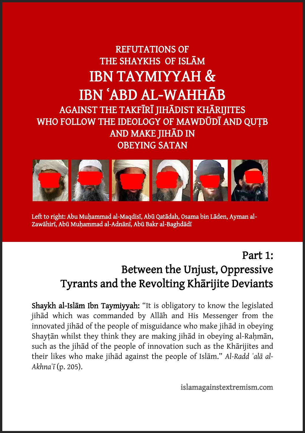## REFUTATIONS OF THE SHAYKHS OF ISLĀM IBN TAYMIYYAH & IBN ʿABD AL-WAHHĀB AGAINST THE TAKFĪRĪ JIHĀDIST KHĀRIJITES WHO FOLLOW THE IDEOLOGY OF MAWDŪDĪ AND QUTB AND MAKE JIHĀD IN OBEYING SATAN



Left to right: Abu Muhammad al-Maqdisī, Abū Qatādah, Osama bin Lāden, Ayman al-Zawāhirī, Abū Muḥammad al-Adnānī, Abū Bakr al-Baghdādī

Ĩ

### Part 1: Between the Unjust, Oppressive Tyrants and the Revolting Khārijite Deviants

Shaykh al-Islām Ibn Taymiyyah: "It is obligatory to know the legislated jihād which was commanded by Allāh and His Messenger from the innovated jihād of the people of misguidance who make jihād in obeying Shaytān whilst they think they are making jihād in obeying al-Rahmān, such as the jihād of the people of innovation such as the Khārijites and their likes who make jihād against the people of Islām." *Al-Radd ʿalā al-Akhnaʿī* (p. 205).

islamagainstextremism.com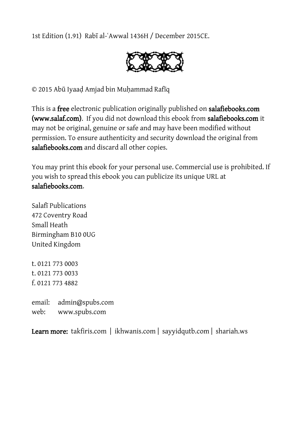1st Edition (1.91) Rabī al-ʿAwwal 1436H / December 2015CE.



© 2015 Abū Iyaaḍ Amjad bin Muḥammad Rafīq

This is a free electronic publication originally published on salafiebooks.com (www.salaf.com). If you did not download this ebook from salafiebooks.com it may not be original, genuine or safe and may have been modified without permission. To ensure authenticity and security download the original from salafiebooks.com and discard all other copies.

You may print this ebook for your personal use. Commercial use is prohibited. If you wish to spread this ebook you can publicize its unique URL at salafiebooks.com.

Salafī Publications 472 Coventry Road Small Heath Birmingham B10 0UG United Kingdom

t. 0121 773 0003 t. 0121 773 0033 f. 0121 773 4882

email: admin@spubs.com web: www.spubs.com

Learn more: takfiris.com | ikhwanis.com | sayyidqutb.com | shariah.ws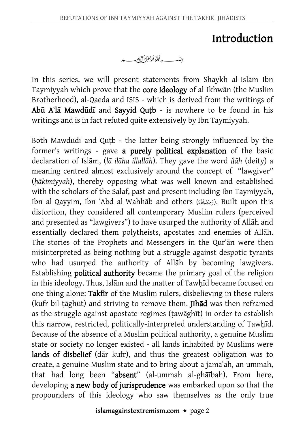### Introduction

In this series, we will present statements from Shaykh al-Islām Ibn Taymiyyah which prove that the core ideology of al-Ikhwān (the Muslim Brotherhood), al-Qaeda and ISIS - which is derived from the writings of Abū Aʿlā Mawdūdī and Sayyid Quṭb - is nowhere to be found in his writings and is in fact refuted quite extensively by Ibn Taymiyyah.

Both Mawdūdī and Quṭb - the latter being strongly influenced by the former's writings - gave a purely political explanation of the basic declaration of Islām, (*lā ilāha illallāh*). They gave the word *ilāh* (deity) a meaning centred almost exclusively around the concept of "lawgiver" (*ḥākimiyyah*), thereby opposing what was well known and established with the scholars of the Salaf, past and present including Ibn Taymiyyah, Ibn al-Qayyim, Ibn ʿAbd al-Wahhāb and others (). Built upon this distortion, they considered all contemporary Muslim rulers (perceived and presented as "lawgivers") to have usurped the authority of Allāh and essentially declared them polytheists, apostates and enemies of Allāh. The stories of the Prophets and Messengers in the Qurʾān were then misinterpreted as being nothing but a struggle against despotic tyrants who had usurped the authority of Allāh by becoming lawgivers. Establishing political authority became the primary goal of the religion in this ideology. Thus, Islām and the matter of Tawhīd became focused on one thing alone: Takfīr of the Muslim rulers, disbelieving in these rulers (kufr bil-tāghūt) and striving to remove them. Jihād was then reframed as the struggle against apostate regimes (ṭawāghīt) in order to establish this narrow, restricted, politically-interpreted understanding of Tawhīd. Because of the absence of a Muslim political authority, a genuine Muslim state or society no longer existed - all lands inhabited by Muslims were lands of disbelief (dār kufr), and thus the greatest obligation was to create, a genuine Muslim state and to bring about a jamāʿah, an ummah, that had long been "absent" (al-ummah al-ghāībah). From here, developing a new body of jurisprudence was embarked upon so that the propounders of this ideology who saw themselves as the only true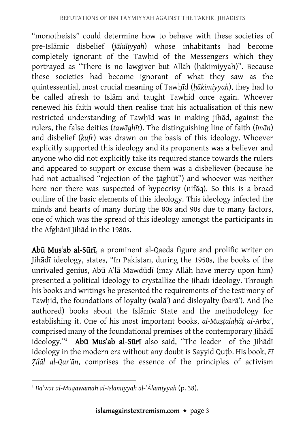"monotheists" could determine how to behave with these societies of pre-Islāmic disbelief (*jāhiliyyah*) whose inhabitants had become completely ignorant of the Tawhid of the Messengers which they portrayed as "There is no lawgiver but Allāh (ḥākimiyyah)". Because these societies had become ignorant of what they saw as the quintessential, most crucial meaning of Tawḥīd (*ḥākimiyyah*), they had to be called afresh to Islām and taught Tawhid once again. Whoever renewed his faith would then realise that his actualisation of this new restricted understanding of Tawhīd was in making jihād, against the rulers, the false deities (*tawāghīt*). The distinguishing line of faith (*īmān*) and disbelief (*kufr*) was drawn on the basis of this ideology. Whoever explicitly supported this ideology and its proponents was a believer and anyone who did not explicitly take its required stance towards the rulers and appeared to support or excuse them was a disbeliever (because he had not actualised "rejection of the tāghūt") and whoever was neither here nor there was suspected of hypocrisy (nifāq). So this is a broad outline of the basic elements of this ideology. This ideology infected the minds and hearts of many during the 80s and 90s due to many factors, one of which was the spread of this ideology amongst the participants in the Afghānī Jihād in the 1980s.

Abū Musʿab al-Sūrī, a prominent al-Qaeda figure and prolific writer on Jihādī ideology, states, "In Pakistan, during the 1950s, the books of the unrivaled genius, Abū Aʿlā Mawdūdī (may Allāh have mercy upon him) presented a political ideology to crystallize the Jihādī ideology. Through his books and writings he presented the requirements of the testimony of Tawhid, the foundations of loyalty (walā<sup>'</sup>) and disloyalty (barā<sup>'</sup>). And (he authored) books about the Islāmic State and the methodology for establishing it. One of his most important books, *al-Muṣṭalaḥāṭ al-Arbaʾ*, comprised many of the foundational premises of the contemporary Jihādī ideology."<sup>1</sup> Abū Mus'ab al-Sūrī also said, "The leader of the Jihādī ideology in the modern era without any doubt is Sayyid Quṭb. His book, *Fī Ẓilāl al-Qurʾān*, comprises the essence of the principles of activism

 $\overline{a}$ <sup>1</sup> *Daʿwat al-Muqāwamah al-Islāmiyyah al-ʿĀlamiyyah* (p. 38).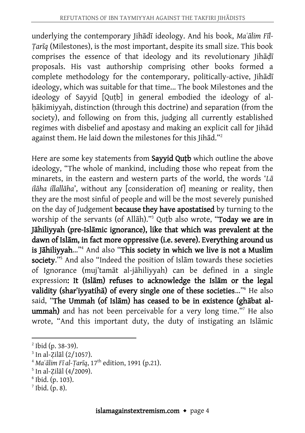underlying the contemporary Jihādī ideology. And his book, *Maʿālim Fīl-Ṭarīq* (Milestones), is the most important, despite its small size. This book comprises the essence of that ideology and its revolutionary Jihadī proposals. His vast authorship comprising other books formed a complete methodology for the contemporary, politically-active, Jihādī ideology, which was suitable for that time... The book Milestones and the ideology of Sayyid [Quṭb] in general embodied the ideology of alhākimiyyah, distinction (through this doctrine) and separation (from the society), and following on from this, judging all currently established regimes with disbelief and apostasy and making an explicit call for Jihād against them. He laid down the milestones for this Jihād." 2

Here are some key statements from Sayyid Qutb which outline the above ideology, "The whole of mankind, including those who repeat from the minarets, in the eastern and western parts of the world, the words '*Lā ilāha illallāha*', without any [consideration of] meaning or reality, then they are the most sinful of people and will be the most severely punished on the day of Judgement because they have apostatised by turning to the worship of the servants (of Allāh)."<sup>3</sup> Outb also wrote, "Today we are in Jāhiliyyah (pre-Islāmic ignorance), like that which was prevalent at the dawn of Islām, in fact more oppressive (i.e. severe). Everything around us is Jāhiliyyah…"<sup>4</sup> And also "This society in which we live is not a Muslim society."<sup>5</sup> And also "Indeed the position of Islam towards these societies of Ignorance (muj'tamāt al-jāhiliyyah) can be defined in a single expression: It (Islām) refuses to acknowledge the Islām or the legal validity (shar'iyyatiha) of every single one of these societies..."<sup>6</sup> He also said, "The Ummah (of Islām) has ceased to be in existence (ghābat alummah) and has not been perceivable for a very long time."<sup>7</sup> He also wrote, "And this important duty, the duty of instigating an Islāmic

 $\overline{a}$ <sup>2</sup> Ibid (p. 38-39).

<sup>3</sup> In al-Ẓilāl (2/1057).

 $^{4}$  *Ma* $^{6}$ *ālim Fī al-Tarīq*, 17<sup>th</sup> edition, 1991 (p.21).

<sup>5</sup> In al-Ẓilāl (4/2009).

<sup>6</sup> Ibid. (p. 103).

 $<sup>7</sup>$  Ibid. (p. 8).</sup>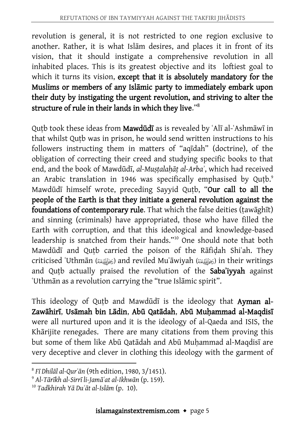revolution is general, it is not restricted to one region exclusive to another. Rather, it is what Islām desires, and places it in front of its vision, that it should instigate a comprehensive revolution in all inhabited places. This is its greatest objective and its loftiest goal to which it turns its vision, except that it is absolutely mandatory for the Muslims or members of any Islāmic party to immediately embark upon their duty by instigating the urgent revolution, and striving to alter the structure of rule in their lands in which they live."<sup>8</sup>

Qutb took these ideas from Mawdūdī as is revealed by 'Alī al-'Ashmāwī in that whilst Qutb was in prison, he would send written instructions to his followers instructing them in matters of "aqīdah" (doctrine), of the obligation of correcting their creed and studying specific books to that end, and the book of Mawdūdī, *al-Muṣṭalaḥāṭ al-Arbaʾ*, which had received an Arabic translation in 1946 was specifically emphasised by Qutb.<sup>9</sup> Mawdūdī himself wrote, preceding Sayyid Qutb, "Our call to all the people of the Earth is that they initiate a general revolution against the foundations of contemporary rule. That which the false deities (ṭawāghīt) and sinning (criminals) have appropriated, those who have filled the Earth with corruption, and that this ideological and knowledge-based leadership is snatched from their hands."<sup>10</sup> One should note that both Mawdūdī and Quṭb carried the poison of the Rāfiḍah Shiʿah. They criticised ʿUthmān () and reviled Muʿāwiyah () in their writings and Qutb actually praised the revolution of the Saba'iyyah against ʿUthmān as a revolution carrying the "true Islāmic spirit".

This ideology of Qutb and Mawdūdī is the ideology that Ayman al-Zawāhirī, Usāmah bin Lādin, Abū Qatādah, Abū Muḥammad al-Maqdisī were all nurtured upon and it is the ideology of al-Qaeda and ISIS, the Khārijite renegades. There are many citations from them proving this but some of them like Abū Qatādah and Abū Muḥammad al-Maqdisī are very deceptive and clever in clothing this ideology with the garment of

<sup>8</sup> *Fī Dhilāl al-Qurʾān* (9th edition, 1980, 3/1451).

<sup>9</sup> *Al-Tārīkh al-Sirrī li-Jamāʿat al-Ikhwān* (p. 159).

<sup>10</sup> *Tadkhirah Yā Duʿāt al-Islām* (p. 10).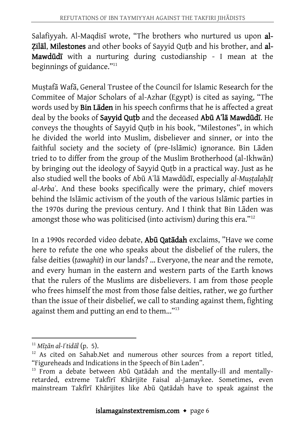Salafiyyah. Al-Maqdisī wrote, "The brothers who nurtured us upon al-Zilāl, Milestones and other books of Sayyid Qutb and his brother, and al-Mawdūdī with a nurturing during custodianship - I mean at the beginnings of guidance."<sup>11</sup>

Muṣtafā Wafā, General Trustee of the Council for Islamic Research for the Commitee of Major Scholars of al-Azhar (Egypt) is cited as saying, "The words used by Bin Lāden in his speech confirms that he is affected a great deal by the books of Sayyid Quṭb and the deceased Abū Aʿlā Mawdūdī. He conveys the thoughts of Sayyid Quṭb in his book, "Milestones", in which he divided the world into Muslim, disbeliever and sinner, or into the faithful society and the society of (pre-Islāmic) ignorance. Bin Lāden tried to to differ from the group of the Muslim Brotherhood (al-Ikhwān) by bringing out the ideology of Sayyid Quṭb in a practical way. Just as he also studied well the books of Abū Aʿlā Mawdūdī, especially *al-Muṣṭalaḥāṭ al-Arbaʾ*. And these books specifically were the primary, chief movers behind the Islāmic activism of the youth of the various Islāmic parties in the 1970s during the previous century. And I think that Bin Lāden was amongst those who was politicised (into activism) during this era."<sup>12</sup>

In a 1990s recorded video debate, Abū Qatādah exclaims, "Have we come here to refute the one who speaks about the disbelief of the rulers, the false deities (*ṭawaghit*) in our lands? ... Everyone, the near and the remote, and every human in the eastern and western parts of the Earth knows that the rulers of the Muslims are disbelievers. I am from those people who frees himself the most from those false deities, rather, we go further than the issue of their disbelief, we call to standing against them, fighting against them and putting an end to them..."<sup>13</sup>

<sup>11</sup> *Mīẓān al-Iʿtidāl* (p. 5).

 $12$  As cited on Sahab.Net and numerous other sources from a report titled, "Figureheads and Indications in the Speech of Bin Laden".

<sup>&</sup>lt;sup>13</sup> From a debate between Abū Qatadah and the mentally-ill and mentallyretarded, extreme Takfīrī Khārijite Faisal al-Jamaykee. Sometimes, even mainstream Takfīrī Khārijites like Abū Qatādah have to speak against the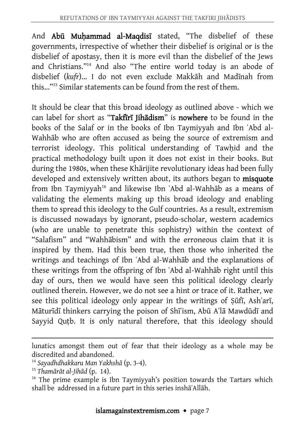And Abū Muḥammad al-Maqdisī stated, "The disbelief of these governments, irrespective of whether their disbelief is original or is the disbelief of apostasy, then it is more evil than the disbelief of the Jews and Christians."<sup>14</sup> And also "The entire world today is an abode of disbelief (*kufr*)... I do not even exclude Makkāh and Madīnah from this..."<sup>15</sup> Similar statements can be found from the rest of them.

It should be clear that this broad ideology as outlined above - which we can label for short as "Takfīrī Jihādism" is nowhere to be found in the books of the Salaf or in the books of Ibn Taymiyyah and Ibn ʿAbd al-Wahhāb who are often accused as being the source of extremism and terrorist ideology. This political understanding of Tawhid and the practical methodology built upon it does not exist in their books. But during the 1980s, when these Khārijite revolutionary ideas had been fully developed and extensively written about, its authors began to **misquote** from Ibn Taymiyyah<sup>16</sup> and likewise Ibn 'Abd al-Wahhāb as a means of validating the elements making up this broad ideology and enabling them to spread this ideology to the Gulf countries. As a result, extremism is discussed nowadays by ignorant, pseudo-scholar, western academics (who are unable to penetrate this sophistry) within the context of "Salafism" and "Wahhābism" and with the erroneous claim that it is inspired by them. Had this been true, then those who inherited the writings and teachings of Ibn ʿAbd al-Wahhāb and the explanations of these writings from the offspring of Ibn ʿAbd al-Wahhāb right until this day of ours, then we would have seen this political ideology clearly outlined therein. However, we do not see a hint or trace of it. Rather, we see this political ideology only appear in the writings of Sūfī, Ash'arī, Māturīdī thinkers carrying the poison of Shīʿism, Abū Aʿlā Mawdūdī and Sayyid Qutb. It is only natural therefore, that this ideology should

lunatics amongst them out of fear that their ideology as a whole may be discredited and abandoned.

<sup>14</sup> *Sayadhdhakkaru Man Yakhshā* (p. 3-4).

<sup>15</sup> *Thamārāt al-Jihād* (p. 14).

<sup>&</sup>lt;sup>16</sup> The prime example is Ibn Taymiyyah's position towards the Tartars which shall be addressed in a future part in this series inshāʾAllāh.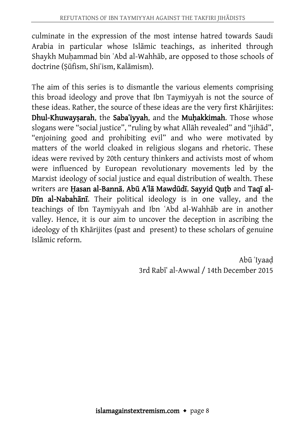culminate in the expression of the most intense hatred towards Saudi Arabia in particular whose Islāmic teachings, as inherited through Shaykh Muhammad bin `Abd al-Wahhāb, are opposed to those schools of doctrine (Ṣūfism, Shiʿism, Kalāmism).

The aim of this series is to dismantle the various elements comprising this broad ideology and prove that Ibn Taymiyyah is not the source of these ideas. Rather, the source of these ideas are the very first Khārijites: Dhul-Khuwaysarah, the Saba'iyyah, and the Muhakkimah. Those whose slogans were "social justice", "ruling by what Allāh revealed" and "jihād", "enjoining good and prohibiting evil" and who were motivated by matters of the world cloaked in religious slogans and rhetoric. These ideas were revived by 20th century thinkers and activists most of whom were influenced by European revolutionary movements led by the Marxist ideology of social justice and equal distribution of wealth. These writers are Hasan al-Bannā, Abū A'lā Mawdūdī, Sayyid Qutb and Taqī al-Dīn al-Nabahānī. Their political ideology is in one valley, and the teachings of Ibn Taymiyyah and Ibn ʿAbd al-Wahhāb are in another valley. Hence, it is our aim to uncover the deception in ascribing the ideology of th Khārijites (past and present) to these scholars of genuine Islāmic reform.

> Abū ʿIyaaḍ 3rd Rabīʿ al-Awwal / 14th December 2015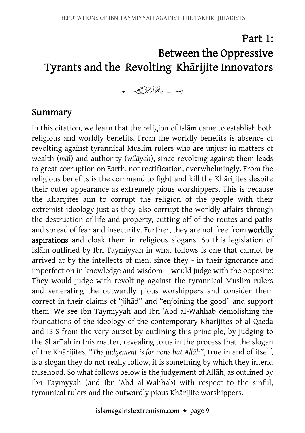# Part 1: Between the Oppressive Tyrants and the Revolting Khārijite Innovators

#### Summary

In this citation, we learn that the religion of Islām came to establish both religious and worldly benefits. From the worldly benefits is absence of revolting against tyrannical Muslim rulers who are unjust in matters of wealth (*māl*) and authority (*wilāyah*), since revolting against them leads to great corruption on Earth, not rectification, overwhelmingly. From the religious benefits is the command to fight and kill the Khārijites despite their outer appearance as extremely pious worshippers. This is because the Khārijites aim to corrupt the religion of the people with their extremist ideology just as they also corrupt the worldly affairs through the destruction of life and property, cutting off of the routes and paths and spread of fear and insecurity. Further, they are not free from worldly aspirations and cloak them in religious slogans. So this legislation of Islām outlined by Ibn Taymiyyah in what follows is one that cannot be arrived at by the intellects of men, since they - in their ignorance and imperfection in knowledge and wisdom - would judge with the opposite: They would judge with revolting against the tyrannical Muslim rulers and venerating the outwardly pious worshippers and consider them correct in their claims of "jihād" and "enjoining the good" and support them. We see Ibn Taymiyyah and Ibn ʿAbd al-Wahhāb demolishing the foundations of the ideology of the contemporary Khārijites of al-Qaeda and ISIS from the very outset by outlining this principle, by judging to the Sharīʿah in this matter, revealing to us in the process that the slogan of the Khārijites, "*The judgement is for none but Allāh*", true in and of itself, is a slogan they do not really follow, it is something by which they intend falsehood. So what follows below is the judgement of Allāh, as outlined by Ibn Taymyyah (and Ibn ʿAbd al-Wahhāb) with respect to the sinful, tyrannical rulers and the outwardly pious Khārijite worshippers.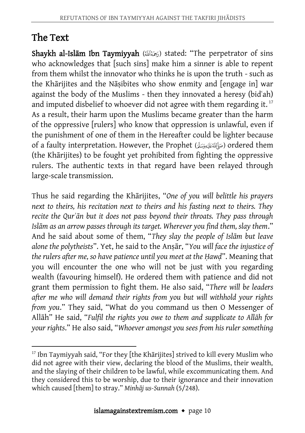### The Text

Shaykh al-Islam Ibn Taymiyyah ( $\geq$  stated: "The perpetrator of sins who acknowledges that [such sins] make him a sinner is able to repent from them whilst the innovator who thinks he is upon the truth - such as the Khārijites and the Nāṣibites who show enmity and [engage in] war against the body of the Muslims - then they innovated a heresy (bidʿah) and imputed disbelief to whoever did not agree with them regarding it.  $^{\rm 17}$ As a result, their harm upon the Muslims became greater than the harm of the oppressive [rulers] who know that oppression is unlawful, even if the punishment of one of them in the Hereafter could be lighter because of a faulty interpretation. However, the Prophet (صَاَلِقَةَ عَيْدِوَسَةً) ordered them (the Khārijites) to be fought yet prohibited from fighting the oppressive rulers. The authentic texts in that regard have been relayed through large-scale transmission.

Thus he said regarding the Khārijites, "*One of you will belittle his prayers next to theirs, his recitation next to theirs and his fasting next to theirs. They recite the Qurʾān but it does not pass beyond their throats. They pass through Islām as an arrow passes through its target. Wherever you find them, slay them*." And he said about some of them, "*They slay the people of Islām but leave alone the polytheists*". Yet, he said to the Anṣār, "*You will face the injustice of the rulers after me, so have patience until you meet at the Ḥawḍ*". Meaning that you will encounter the one who will not be just with you regarding wealth (favouring himself). He ordered them with patience and did not grant them permission to fight them. He also said, "*There will be leaders after me who will demand their rights from you but will withhold your rights from you*." They said, "What do you command us then O Messenger of Allāh" He said, "*Fulfil the rights you owe to them and supplicate to Allāh for your rights*." He also said, "*Whoever amongst you sees from his ruler something* 

 $\overline{a}$ <sup>17</sup> Ibn Tavmiyyah said, "For they [the Khārijites] strived to kill every Muslim who did not agree with their view, declaring the blood of the Muslims, their wealth, and the slaying of their children to be lawful, while excommunicating them. And they considered this to be worship, due to their ignorance and their innovation which caused [them] to stray." *Minhāj us-Sunnah* (5/248).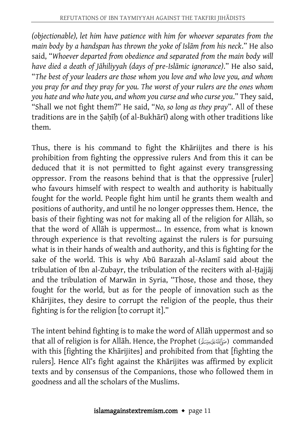*(objectionable), let him have patience with him for whoever separates from the main body by a handspan has thrown the yoke of Islām from his neck*." He also said, "*Whoever departed from obedience and separated from the main body will have died a death of Jāhiliyyah (days of pre-Islāmic ignorance)*." He also said, "*The best of your leaders are those whom you love and who love you, and whom you pray for and they pray for you. The worst of your rulers are the ones whom you hate and who hate you, and whom you curse and who curse you*." They said, "Shall we not fight them?" He said, "*No, so long as they pray*". All of these traditions are in the Sahīh (of al-Bukhārī) along with other traditions like them.

Thus, there is his command to fight the Khāriijtes and there is his prohibition from fighting the oppressive rulers And from this it can be deduced that it is not permitted to fight against every transgressing oppressor. From the reasons behind that is that the oppressive [ruler] who favours himself with respect to wealth and authority is habitually fought for the world. People fight him until he grants them wealth and positions of authority, and until he no longer oppresses them. Hence, the basis of their fighting was not for making all of the religion for Allāh, so that the word of Allāh is uppermost... In essence, from what is known through experience is that revolting against the rulers is for pursuing what is in their hands of wealth and authority, and this is fighting for the sake of the world. This is why Abū Barazah al-Aslamī said about the tribulation of Ibn al-Zubayr, the tribulation of the reciters with al-Ḥajjāj and the tribulation of Marwān in Syria, "Those, those and those, they fought for the world, but as for the people of innovation such as the Khārijites, they desire to corrupt the religion of the people, thus their fighting is for the religion [to corrupt it]."

The intent behind fighting is to make the word of Allāh uppermost and so that all of religion is for Allāh. Hence, the Prophet (صَرَالَةَ عَلَيْهِ وَسَلَّ) commanded with this [fighting the Khārijites] and prohibited from that [fighting the rulers]. Hence Alī's fight against the Khārijites was affirmed by explicit texts and by consensus of the Companions, those who followed them in goodness and all the scholars of the Muslims.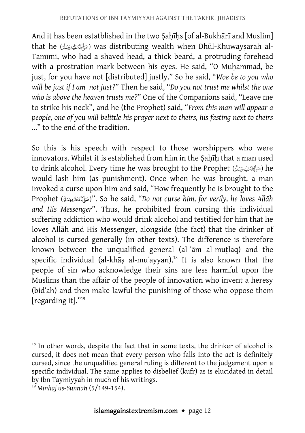And it has been estatblished in the two Sahīhs [of al-Bukhārī and Muslim] that he () was distributing wealth when Dhūl-Khuwayṣarah al-Tamīmī, who had a shaved head, a thick beard, a protruding forehead with a prostration mark between his eyes. He said, "O Muhammad, be just, for you have not [distributed] justly." So he said, "*Woe be to you who will be just if I am not just?*" Then he said, "*Do you not trust me whilst the one who is above the heaven trusts me?*" One of the Companions said, "Leave me to strike his neck", and he (the Prophet) said, "*From this man will appear a people, one of you will belittle his prayer next to theirs, his fasting next to theirs* ..." to the end of the tradition.

So this is his speech with respect to those worshippers who were innovators. Whilst it is established from him in the Sahīh that a man used to drink alcohol. Every time he was brought to the Prophet (صَآلَفَهُمَنَدَّة) he would lash him (as punishment). Once when he was brought, a man invoked a curse upon him and said, "How frequently he is brought to the Prophet ()". So he said, "*Do not curse him, for verily, he loves Allāh and His Messenger*". Thus, he prohibited from cursing this individual suffering addiction who would drink alcohol and testified for him that he loves Allāh and His Messenger, alongside (the fact) that the drinker of alcohol is cursed generally (in other texts). The difference is therefore known between the unqualified general (al-ʿām al-muṭlaq) and the specific individual (al-khāṣ al-muʿayyan).<sup>18</sup> It is also known that the people of sin who acknowledge their sins are less harmful upon the Muslims than the affair of the people of innovation who invent a heresy (bidʿah) and then make lawful the punishing of those who oppose them [regarding it]." 19

<sup>&</sup>lt;sup>18</sup> In other words, despite the fact that in some texts, the drinker of alcohol is cursed, it does not mean that every person who falls into the act is definitely cursed, since the unqualified general ruling is different to the judgement upon a specific individual. The same applies to disbelief (kufr) as is elucidated in detail by Ibn Taymiyyah in much of his writings.

<sup>19</sup> *Minhāj us-Sunnah* (5/149-154).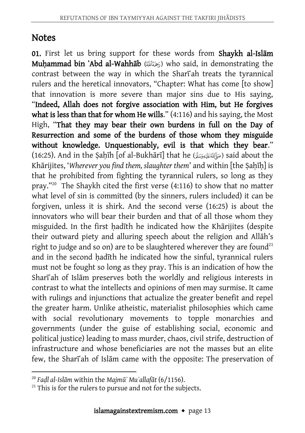### **Notes**

01. First let us bring support for these words from Shaykh al-Islam Muhammad bin 'Abd al-Wahhāb (مَمَدَّانَة) who said, in demonstrating the contrast between the way in which the Shari<sup>ah</sup> treats the tyrannical rulers and the heretical innovators, "Chapter: What has come [to show] that innovation is more severe than major sins due to His saying, "Indeed, Allah does not forgive association with Him, but He forgives what is less than that for whom He wills." (4:116) and his saying, the Most High, "That they may bear their own burdens in full on the Day of Resurrection and some of the burdens of those whom they misguide without knowledge. Unquestionably, evil is that which they bear." (16:25). And in the Ṣaḥīh [of al-Bukhārī] that he () said about the Khārijites, 'Wherever you find them, slaughter them' and within [the Sahīh] is that he prohibited from fighting the tyrannical rulers, so long as they pray." <sup>20</sup> The Shaykh cited the first verse (4:116) to show that no matter what level of sin is committed (by the sinners, rulers included) it can be forgiven, unless it is shirk. And the second verse (16:25) is about the innovators who will bear their burden and that of all those whom they misguided. In the first hadīth he indicated how the Khārijites (despite their outward piety and alluring speech about the religion and Allāh's right to judge and so on) are to be slaughtered wherever they are found<sup>21</sup> and in the second hadīth he indicated how the sinful, tyrannical rulers must not be fought so long as they pray. This is an indication of how the Sharīʿah of Islām preserves both the worldly and religious interests in contrast to what the intellects and opinions of men may surmise. It came with rulings and injunctions that actualize the greater benefit and repel the greater harm. Unlike atheistic, materialist philosophies which came with social revolutionary movements to topple monarchies and governments (under the guise of establishing social, economic and political justice) leading to mass murder, chaos, civil strife, destruction of infrastructure and whose beneficiaries are not the masses but an elite few, the Sharīʿah of Islām came with the opposite: The preservation of

 $\overline{a}$ <sup>20</sup> *Faḍl al-Islām* within the *Majmūʾ Muʾallafāt* (6/1156).

 $21$ <sup>21</sup> This is for the rulers to pursue and not for the subjects.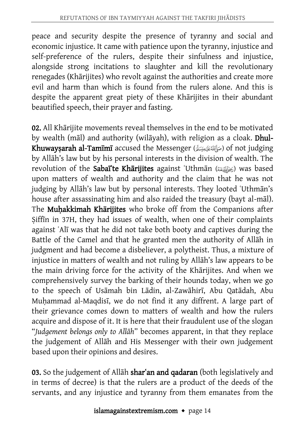peace and security despite the presence of tyranny and social and economic injustice. It came with patience upon the tyranny, injustice and self-preference of the rulers, despite their sinfulness and injustice, alongside strong incitations to slaughter and kill the revolutionary renegades (Khārijites) who revolt against the authorities and create more evil and harm than which is found from the rulers alone. And this is despite the apparent great piety of these Khārijites in their abundant beautified speech, their prayer and fasting.

02. All Khārijite movements reveal themselves in the end to be motivated by wealth (māl) and authority (wilāyah), with religion as a cloak. Dhul-Khuwaysarah al-Tamīmī accused the Messenger (صَأَلِللَّهُ عَنْدِوَسَةً) of not judging by Allāh's law but by his personal interests in the division of wealth. The revolution of the Sabaite Kharijites against 'Uthman ((رَضَالَفَيْعَنْهُ) was based upon matters of wealth and authority and the claim that he was not judging by Allāh's law but by personal interests. They looted 'Uthmān's house after assassinating him and also raided the treasury (bayt al-māl). The Muhakkimah Khārijites who broke off from the Companions after Siffin in 37H, they had issues of wealth, when one of their complaints against ʿAlī was that he did not take both booty and captives during the Battle of the Camel and that he granted men the authority of Allāh in judgment and had become a disbeliever, a polytheist. Thus, a mixture of injustice in matters of wealth and not ruling by Allāh's law appears to be the main driving force for the activity of the Khārijites. And when we comprehensively survey the barking of their hounds today, when we go to the speech of Usāmah bin Lādin, al-Zawāhirī, Abu Qatādah, Abu Muhammad al-Maqdisī, we do not find it any diffrent. A large part of their grievance comes down to matters of wealth and how the rulers acquire and dispose of it. It is here that their fraudulent use of the slogan "*Judgement belongs only to Allāh*" becomes apparent, in that they replace the judgement of Allāh and His Messenger with their own judgement based upon their opinions and desires.

03. So the judgement of Allāh shar'an and qadaran (both legislatively and in terms of decree) is that the rulers are a product of the deeds of the servants, and any injustice and tyranny from them emanates from the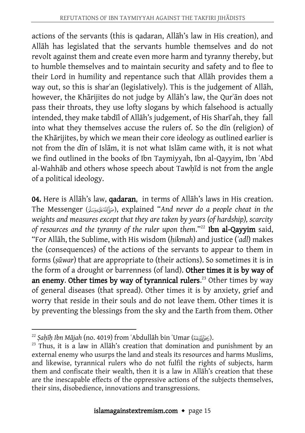actions of the servants (this is qadaran, Allāh's law in His creation), and Allāh has legislated that the servants humble themselves and do not revolt against them and create even more harm and tyranny thereby, but to humble themselves and to maintain security and safety and to flee to their Lord in humility and repentance such that Allāh provides them a way out, so this is sharʿan (legislatively). This is the judgement of Allāh, however, the Khārijites do not judge by Allāh's law, the Qurʾān does not pass their throats, they use lofty slogans by which falsehood is actually intended, they make tabdīl of Allāh's judgement, of His Sharīʿah, they fall into what they themselves accuse the rulers of. So the dīn (religion) of the Khārijites, by which we mean their core ideology as outlined earlier is not from the dīn of Islām, it is not what Islām came with, it is not what we find outlined in the books of Ibn Taymiyyah, Ibn al-Qayyim, Ibn ʿAbd al-Wahhāb and others whose speech about Tawḥīd is not from the angle of a political ideology.

04. Here is Allāh's law, qadaran, in terms of Allāh's laws in His creation. The Messenger (), explained "*And never do a people cheat in the weights and measures except that they are taken by years (of hardship), scarcity of resources and the tyranny of the ruler upon them*."<sup>22</sup> Ibn al-Qayyim said, "For Allāh, the Sublime, with His wisdom (*ḥikmah*) and justice (*ʾadl*) makes the (consequences) of the actions of the servants to appear to them in forms (*ṣūwar*) that are appropriate to (their actions). So sometimes it is in the form of a drought or barrenness (of land). Other times it is by way of an enemy. Other times by way of tyrannical rulers.<sup>23</sup> Other times by way of general diseases (that spread). Other times it is by anxiety, grief and worry that reside in their souls and do not leave them. Other times it is by preventing the blessings from the sky and the Earth from them. Other

 $\overline{a}$ <sup>22</sup> *Şaḥīḥ Ibn Mājah* (no. 4019) from ʿAbdullāh bin ʿUmar (أَرْضَالَلَّهُ عِنْهُ).

 $23$  Thus, it is a law in Allāh's creation that domination and punishment by an external enemy who usurps the land and steals its resources and harms Muslims, and likewise, tyrannical rulers who do not fulfil the rights of subjects, harm them and confiscate their wealth, then it is a law in Allāh's creation that these are the inescapable effects of the oppressive actions of the subjects themselves, their sins, disobedience, innovations and transgressions.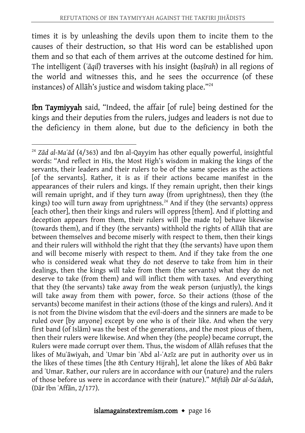times it is by unleashing the devils upon them to incite them to the causes of their destruction, so that His word can be established upon them and so that each of them arrives at the outcome destined for him. The intelligent (*ʿāqil*) traverses with his insight (*baṣīrah*) in all regions of the world and witnesses this, and he sees the occurrence (of these instances) of Allāh's justice and wisdom taking place." 24

Ibn Taymiyyah said, "Indeed, the affair [of rule] being destined for the kings and their deputies from the rulers, judges and leaders is not due to the deficiency in them alone, but due to the deficiency in both the

<sup>1</sup> <sup>24</sup> *Zād al-Maʿād* (4/363) and Ibn al-Qayyim has other equally powerful, insightful words: "And reflect in His, the Most High's wisdom in making the kings of the servants, their leaders and their rulers to be of the same species as the actions [of the servants]. Rather, it is as if their actions became manifest in the appearances of their rulers and kings. If they remain upright, then their kings will remain upright, and if they turn away (from uprightness), then they (the kings) too will turn away from uprightness.<sup>24</sup> And if they (the servants) oppress [each other], then their kings and rulers will oppress [them]. And if plotting and deception appears from them, their rulers will [be made to] behave likewise (towards them), and if they (the servants) withhold the rights of Allāh that are between themselves and become miserly with respect to them, then their kings and their rulers will withhold the right that they (the servants) have upon them and will become miserly with respect to them. And if they take from the one who is considered weak what they do not deserve to take from him in their dealings, then the kings will take from them (the servants) what they do not deserve to take (from them) and will inflict them with taxes. And everything that they (the servants) take away from the weak person (unjustly), the kings will take away from them with power, force. So their actions (those of the servants) become manifest in their actions (those of the kings and rulers). And it is not from the Divine wisdom that the evil-doers and the sinners are made to be ruled over [by anyone] except by one who is of their like. And when the very first band (of Islām) was the best of the generations, and the most pious of them, then their rulers were likewise. And when they (the people) became corrupt, the Rulers were made corrupt over them. Thus, the wisdom of Allāh refuses that the likes of Muʿāwiyah, and ʿUmar bin ʿAbd al-ʿAzīz are put in authority over us in the likes of these times [the 8th Century Hijrah], let alone the likes of Abū Bakr and ʿUmar. Rather, our rulers are in accordance with our (nature) and the rulers of those before us were in accordance with their (nature)." *Miftāḥ Dār al-Saʿādah*, (Dār Ibn ʿAffān, 2/177).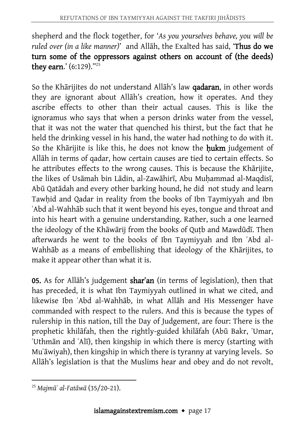shepherd and the flock together, for '*As you yourselves behave, you will be ruled over (in a like manner)*' and Allāh, the Exalted has said, 'Thus do we turn some of the oppressors against others on account of (the deeds) **they earn.'** (6:129)."<sup>25</sup>

So the Khārijites do not understand Allāh's law qadaran, in other words they are ignorant about Allāh's creation, how it operates. And they ascribe effects to other than their actual causes. This is like the ignoramus who says that when a person drinks water from the vessel, that it was not the water that quenched his thirst, but the fact that he held the drinking vessel in his hand, the water had nothing to do with it. So the Khārijite is like this, he does not know the **hukm** judgement of Allāh in terms of qadar, how certain causes are tied to certain effects. So he attributes effects to the wrong causes. This is because the Khārijite, the likes of Usāmah bin Lādin, al-Zawāhirī, Abu Muḥammad al-Maqdisī, Abū Qatādah and every other barking hound, he did not study and learn Tawhid and Qadar in reality from the books of Ibn Taymiyyah and Ibn ʿAbd al-Wahhāb such that it went beyond his eyes, tongue and throat and into his heart with a genuine understanding. Rather, such a one learned the ideology of the Khāwārij from the books of Quṭb and Mawdūdī. Then afterwards he went to the books of Ibn Taymiyyah and Ibn ʿAbd al-Wahhāb as a means of embellishing that ideology of the Khārijites, to make it appear other than what it is.

05. As for Allah's judgement shar'an (in terms of legislation), then that has preceded, it is what Ibn Taymiyyah outlined in what we cited, and likewise Ibn ʿAbd al-Wahhāb, in what Allāh and His Messenger have commanded with respect to the rulers. And this is because the types of rulership in this nation, till the Day of Judgement, are four: There is the prophetic khilāfah, then the rightly-guided khilāfah (Abū Bakr, ʿUmar, ʿUthmān and ʿAlī), then kingship in which there is mercy (starting with Muʿāwiyah), then kingship in which there is tyranny at varying levels. So Allāh's legislation is that the Muslims hear and obey and do not revolt,

 $\overline{a}$ <sup>25</sup> *Majmūʿ al-Fatāwā* (35/20-21).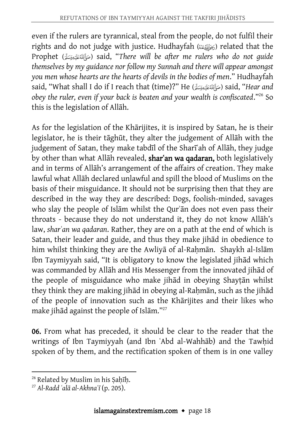even if the rulers are tyrannical, steal from the people, do not fulfil their rights and do not judge with justice. Hudhayfah (بَهَاتَ ) related that the Prophet () said, "*There will be after me rulers who do not guide themselves by my guidance nor follow my Sunnah and there will appear amongst you men whose hearts are the hearts of devils in the bodies of men*." Hudhayfah said, "What shall I do if I reach that (time)?" He () said, "*Hear and obey the ruler, even if your back is beaten and your wealth is confiscated*."<sup>26</sup> So this is the legislation of Allāh.

As for the legislation of the Khārijites, it is inspired by Satan, he is their legislator, he is their tāghūt, they alter the judgement of Allāh with the judgement of Satan, they make tabdīl of the Sharīʿah of Allāh, they judge by other than what Allāh revealed, shar'an wa qadaran, both legislatively and in terms of Allāh's arrangement of the affairs of creation. They make lawful what Allāh declared unlawful and spill the blood of Muslims on the basis of their misguidance. It should not be surprising then that they are described in the way they are described: Dogs, foolish-minded, savages who slay the people of Islām whilst the Qurʾān does not even pass their throats - because they do not understand it, they do not know Allāh's law, *sharʿan wa qadaran*. Rather, they are on a path at the end of which is Satan, their leader and guide, and thus they make jihād in obedience to him whilst thinking they are the Awliya of al-Rahman. Shaykh al-Islam Ibn Taymiyyah said, "It is obligatory to know the legislated jihād which was commanded by Allāh and His Messenger from the innovated jihād of the people of misguidance who make jihād in obeying Shayṭān whilst they think they are making jihād in obeying al-Rahmān, such as the jihād of the people of innovation such as the Khārijites and their likes who make jihād against the people of Islām."<sup>27</sup>

06. From what has preceded, it should be clear to the reader that the writings of Ibn Taymiyyah (and Ibn ʿAbd al-Wahhāb) and the Tawḥid spoken of by them, and the rectification spoken of them is in one valley

 $\ddot{\phantom{a}}$ <sup>26</sup> Related by Muslim in his Ṣaḥīḥ.

<sup>27</sup> *Al-Radd ʿalā al-Akhnaʿī* (p. 205).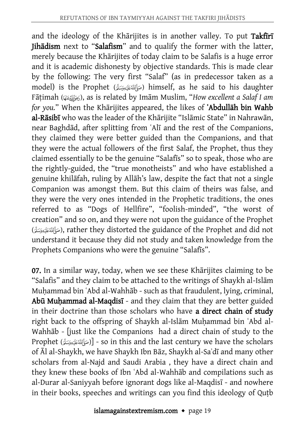and the ideology of the Khārijites is in another valley. To put Takfiri Jihādism next to "Salafism" and to qualify the former with the latter, merely because the Khārijites of today claim to be Salafis is a huge error and it is academic dishonesty by objective standards. This is made clear by the following: The very first "Salaf" (as in predecessor taken as a model) is the Prophet (مَأَأَلَّهُ مَائِدِهِ سَنَّى) himself, as he said to his daughter Fāṭimah (), as is related by Imām Muslim, "*How excellent a Salaf I am for you.*" When the Khārijites appeared, the likes of ʿAbdullāh bin Wahb al-Rāsibī who was the leader of the Khārijite "Islāmic State" in Nahrawān, near Baghdād, after splitting from ʿAlī and the rest of the Companions, they claimed they were better guided than the Companions, and that they were the actual followers of the first Salaf, the Prophet, thus they claimed essentially to be the genuine "Salafīs" so to speak, those who are the rightly-guided, the "true monotheists" and who have established a genuine khilāfah, ruling by Allāh's law, despite the fact that not a single Companion was amongst them. But this claim of theirs was false, and they were the very ones intended in the Prophetic traditions, the ones referred to as "Dogs of Hellfire", "foolish-minded", "the worst of creation" and so on, and they were not upon the guidance of the Prophet (), rather they distorted the guidance of the Prophet and did not understand it because they did not study and taken knowledge from the Prophets Companions who were the genuine "Salafīs".

07. In a similar way, today, when we see these Khārijites claiming to be "Salafis" and they claim to be attached to the writings of Shaykh al-Islām Muhammad bin `Abd al-Wahhāb - such as that fraudulent, lying, criminal, Abū Muḥammad al-Maqdisī - and they claim that they are better guided in their doctrine than those scholars who have a direct chain of study right back to the offspring of Shaykh al-Islām Muḥammad bin ʿAbd al-Wahhāb - [just like the Companions had a direct chain of study to the Prophet  $[$ (صَأَلِقَتَكَيْمُوَسَلَّىَ)] - so in this and the last century we have the scholars of Āl al-Shaykh, we have Shaykh Ibn Bāz, Shaykh al-Saʾdī and many other scholars from al-Najd and Saudi Arabia , they have a direct chain and they knew these books of Ibn ʿAbd al-Wahhāb and compilations such as al-Durar al-Saniyyah before ignorant dogs like al-Maqdisī - and nowhere in their books, speeches and writings can you find this ideology of Quṭb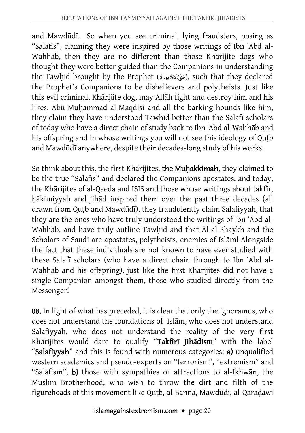and Mawdūdī. So when you see criminal, lying fraudsters, posing as "Salafīs", claiming they were inspired by those writings of Ibn ʿAbd al-Wahhāb, then they are no different than those Khārijite dogs who thought they were better guided than the Companions in understanding the Tawhid brought by the Prophet (صَأَلِقَنَكَنِيوَسَلَّ), such that they declared the Prophet's Companions to be disbelievers and polytheists. Just like this evil criminal, Khārijite dog, may Allāh fight and destroy him and his likes, Abū Muhammad al-Maqdisī and all the barking hounds like him, they claim they have understood Tawhīd better than the Salafī scholars of today who have a direct chain of study back to Ibn ʿAbd al-Wahhāb and his offspring and in whose writings you will not see this ideology of Quṭb and Mawdūdī anywhere, despite their decades-long study of his works.

So think about this, the first Khārijites, the Muḥakkimah, they claimed to be the true "Salafīs" and declared the Companions apostates, and today, the Khārijites of al-Qaeda and ISIS and those whose writings about takfīr, ḥākimiyyah and jihād inspired them over the past three decades (all drawn from Quṭb and Mawdūdī), they fraudulently claim Salafiyyah, that they are the ones who have truly understood the writings of Ibn ʿAbd al-Wahhāb, and have truly outline Tawḥīd and that Āl al-Shaykh and the Scholars of Saudi are apostates, polytheists, enemies of Islām! Alongside the fact that these individuals are not known to have ever studied with these Salafī scholars (who have a direct chain through to Ibn ʿAbd al-Wahhāb and his offspring), just like the first Khārijites did not have a single Companion amongst them, those who studied directly from the Messenger!

08. In light of what has preceded, it is clear that only the ignoramus, who does not understand the foundations of Islām, who does not understand Salafiyyah, who does not understand the reality of the very first Khārijites would dare to qualify "Takfīrī Jihādism" with the label "Salafiyyah" and this is found with numerous categories: a) unqualified western academics and pseudo-experts on "terrorism", "extremism" and "Salafism", b) those with sympathies or attractions to al-Ikhwān, the Muslim Brotherhood, who wish to throw the dirt and filth of the figureheads of this movement like Quṭb, al-Bannā, Mawdūdī, al-Qaraḍāwī